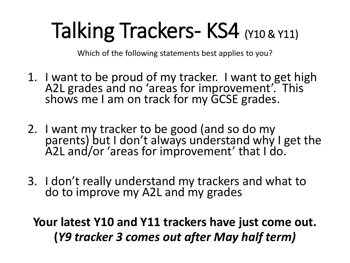# Talking Trackers- KS4 (Y10 & Y11)

Which of the following statements best applies to you?

- 1. I want to be proud of my tracker. I want to get high A2L grades and no 'areas for improvement'. This shows me I am on track for my GCSE grades.
- 2. I want my tracker to be good (and so do my parents) but I don't always understand why I get the A2L and/or 'areas for improvement' that I do.
- 3. I don't really understand my trackers and what to do to improve my A2L and my grades

**Your latest Y10 and Y11 trackers have just come out. (***Y9 tracker 3 comes out after May half term)*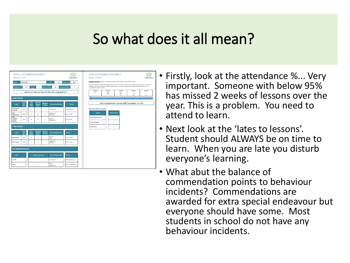

- Firstly, look at the attendance %... Very important. Someone with below 95% has missed 2 weeks of lessons over the year. This is a problem. You need to attend to learn.
- Next look at the 'lates to lessons'. Student should ALWAYS be on time to learn. When you are late you disturb everyone's learning.
- What abut the balance of commendation points to behaviour incidents? Commendations are awarded for extra special endeavour but everyone should have some. Most students in school do not have any behaviour incidents.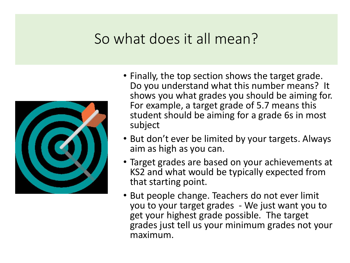

- Finally, the top section shows the target grade. Do you understand what this number means? It shows you what grades you should be aiming for. For example, a target grade of 5.7 means this student should be aiming for a grade 6s in most subject
- But don't ever be limited by your targets. Always aim as high as you can.
- Target grades are based on your achievements at KS2 and what would be typically expected from that starting point.
- But people change. Teachers do not ever limit you to your target grades - We just want you to get your highest grade possible. The target grades just tell us your minimum grades not your maximum.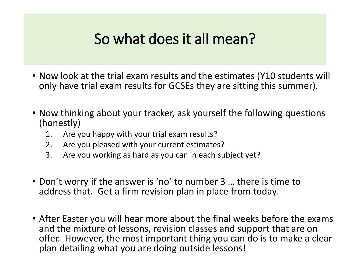- Now look at the trial exam results and the estimates (Y10 students will only have trial exam results for GCSEs they are sitting this summer).
- Now thinking about your tracker, ask yourself the following questions (honestly)
	- 1. Are you happy with your trial exam results?
	- 2. Are you pleased with your current estimates?
	- 3. Are you working as hard as you can in each subject yet?
- Don't worry if the answer is 'no' to number 3 … there is time to address that. Get a firm revision plan in place from today.
- After Easter you will hear more about the final weeks before the exams and the mixture of lessons, revision classes and support that are on offer. However, the most important thing you can do is to make a clear plan detailing what you are doing outside lessons!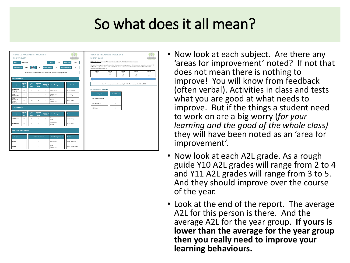

- Now look at each subject. Are there any 'areas for improvement' noted? If not that does not mean there is nothing to improve! You will know from feedback (often verbal). Activities in class and tests what you are good at what needs to improve. But if the things a student need to work on are a big worry (*for your learning and the good of the whole class)*  they will have been noted as an 'area for improvement'.
- Now look at each A2L grade. As a rough guide Y10 A2L grades will range from 2 to 4 and Y11 A2L grades will range from 3 to 5. And they should improve over the course of the year.
- Look at the end of the report. The average A2L for this person is there. And the average A2L for the year group. **If yours is lower than the average for the year group then you really need to improve your learning behaviours.**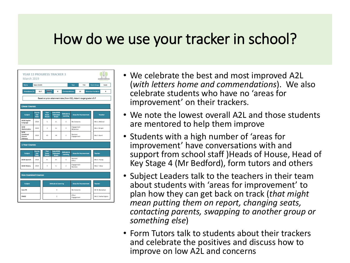### How do we use your tracker in school?



- We celebrate the best and most improved A2L (*with letters home and commendations*). We also celebrate students who have no 'areas for improvement' on their trackers.
- We note the lowest overall A2L and those students are mentored to help them improve
- Students with a high number of 'areas for improvement' have conversations with and support from school staff )Heads of House, Head of Key Stage 4 (Mr Bedford), form tutors and others
- Subject Leaders talk to the teachers in their team about students with 'areas for improvement' to plan how they can get back on track (*that might mean putting them on report, changing seats, contacting parents, swapping to another group or something else*)
- Form Tutors talk to students about their trackers and celebrate the positives and discuss how to improve on low A2L and concerns